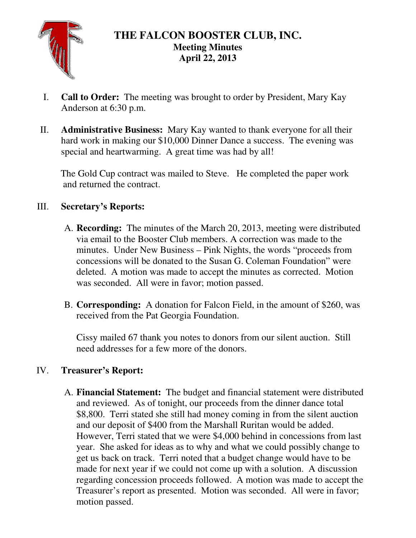

# **THE FALCON BOOSTER CLUB, INC. Meeting Minutes April 22, 2013**

- I. **Call to Order:** The meeting was brought to order by President, Mary Kay Anderson at 6:30 p.m.
- II. **Administrative Business:** Mary Kay wanted to thank everyone for all their hard work in making our \$10,000 Dinner Dance a success. The evening was special and heartwarming. A great time was had by all!

The Gold Cup contract was mailed to Steve. He completed the paper work and returned the contract.

### III. **Secretary's Reports:**

- A. **Recording:** The minutes of the March 20, 2013, meeting were distributed via email to the Booster Club members. A correction was made to the minutes. Under New Business – Pink Nights, the words "proceeds from concessions will be donated to the Susan G. Coleman Foundation" were deleted. A motion was made to accept the minutes as corrected. Motion was seconded. All were in favor; motion passed.
- B. **Corresponding:** A donation for Falcon Field, in the amount of \$260, was received from the Pat Georgia Foundation.

Cissy mailed 67 thank you notes to donors from our silent auction. Still need addresses for a few more of the donors.

## IV. **Treasurer's Report:**

A. **Financial Statement:** The budget and financial statement were distributed and reviewed. As of tonight, our proceeds from the dinner dance total \$8,800. Terri stated she still had money coming in from the silent auction and our deposit of \$400 from the Marshall Ruritan would be added. However, Terri stated that we were \$4,000 behind in concessions from last year. She asked for ideas as to why and what we could possibly change to get us back on track. Terri noted that a budget change would have to be made for next year if we could not come up with a solution. A discussion regarding concession proceeds followed. A motion was made to accept the Treasurer's report as presented. Motion was seconded. All were in favor; motion passed.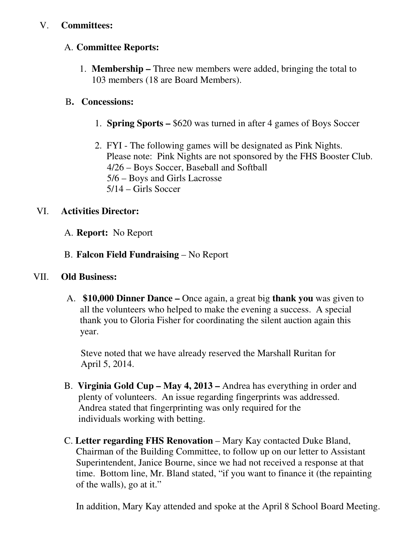### V. **Committees:**

#### A. **Committee Reports:**

1. **Membership –** Three new members were added, bringing the total to 103 members (18 are Board Members).

### B**. Concessions:**

- 1. **Spring Sports** \$620 was turned in after 4 games of Boys Soccer
- 2. FYI The following games will be designated as Pink Nights. Please note: Pink Nights are not sponsored by the FHS Booster Club. 4/26 – Boys Soccer, Baseball and Softball 5/6 – Boys and Girls Lacrosse 5/14 – Girls Soccer

### VI. **Activities Director:**

- A. **Report:** No Report
- B. **Falcon Field Fundraising** No Report

#### VII. **Old Business:**

 A. **\$10,000 Dinner Dance –** Once again, a great big **thank you** was given to all the volunteers who helped to make the evening a success. A special thank you to Gloria Fisher for coordinating the silent auction again this year.

 Steve noted that we have already reserved the Marshall Ruritan for April 5, 2014.

- B. **Virginia Gold Cup May 4, 2013** Andrea has everything in order and plenty of volunteers. An issue regarding fingerprints was addressed. Andrea stated that fingerprinting was only required for the individuals working with betting.
- C. **Letter regarding FHS Renovation** Mary Kay contacted Duke Bland, Chairman of the Building Committee, to follow up on our letter to Assistant Superintendent, Janice Bourne, since we had not received a response at that time. Bottom line, Mr. Bland stated, "if you want to finance it (the repainting of the walls), go at it."

In addition, Mary Kay attended and spoke at the April 8 School Board Meeting.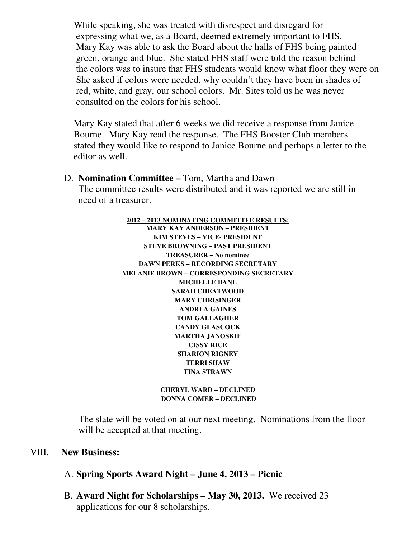While speaking, she was treated with disrespect and disregard for expressing what we, as a Board, deemed extremely important to FHS. Mary Kay was able to ask the Board about the halls of FHS being painted green, orange and blue. She stated FHS staff were told the reason behind the colors was to insure that FHS students would know what floor they were on She asked if colors were needed, why couldn't they have been in shades of red, white, and gray, our school colors. Mr. Sites told us he was never consulted on the colors for his school.

 Mary Kay stated that after 6 weeks we did receive a response from Janice Bourne. Mary Kay read the response. The FHS Booster Club members stated they would like to respond to Janice Bourne and perhaps a letter to the editor as well.

D. **Nomination Committee –** Tom, Martha and Dawn The committee results were distributed and it was reported we are still in need of a treasurer.

> **2012 – 2013 NOMINATING COMMITTEE RESULTS: MARY KAY ANDERSON – PRESIDENT KIM STEVES – VICE- PRESIDENT STEVE BROWNING – PAST PRESIDENT TREASURER – No nominee DAWN PERKS – RECORDING SECRETARY MELANIE BROWN – CORRESPONDING SECRETARY MICHELLE BANE SARAH CHEATWOOD MARY CHRISINGER ANDREA GAINES TOM GALLAGHER CANDY GLASCOCK MARTHA JANOSKIE CISSY RICE SHARION RIGNEY TERRI SHAW TINA STRAWN**

> > **CHERYL WARD – DECLINED DONNA COMER – DECLINED**

The slate will be voted on at our next meeting. Nominations from the floor will be accepted at that meeting.

#### VIII. **New Business:**

- A. **Spring Sports Award Night June 4, 2013 Picnic**
- B. **Award Night for Scholarships May 30, 2013.** We received 23 applications for our 8 scholarships.